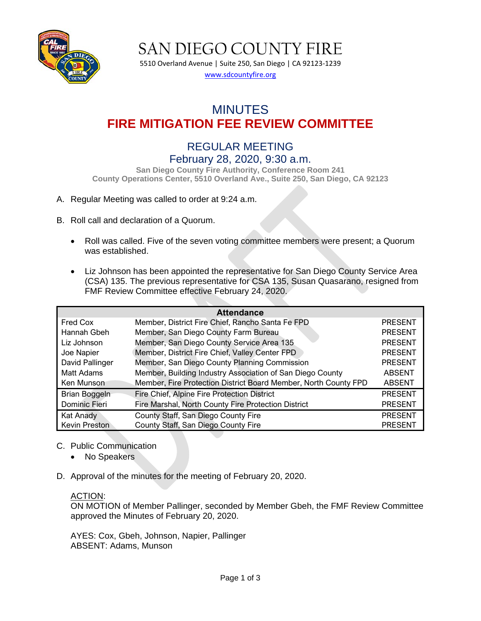

SAN DIEGO COUNTY FIRE

5510 Overland Avenue | Suite 250, San Diego | CA 92123-1239 [www.sdcountyfire.org](http://www.sdcountyfire.org/)

# MINUTES **FIRE MITIGATION FEE REVIEW COMMITTEE**

## REGULAR MEETING February 28, 2020, 9:30 a.m.

**San Diego County Fire Authority, Conference Room 241 County Operations Center, 5510 Overland Ave., Suite 250, San Diego, CA 92123**

#### A. Regular Meeting was called to order at 9:24 a.m.

- B. Roll call and declaration of a Quorum.
	- Roll was called. Five of the seven voting committee members were present; a Quorum was established.
	- Liz Johnson has been appointed the representative for San Diego County Service Area (CSA) 135. The previous representative for CSA 135, Susan Quasarano, resigned from FMF Review Committee effective February 24, 2020.

| <b>Attendance</b>    |                                                                 |                |  |  |  |  |
|----------------------|-----------------------------------------------------------------|----------------|--|--|--|--|
| Fred Cox             | Member, District Fire Chief, Rancho Santa Fe FPD                | <b>PRESENT</b> |  |  |  |  |
| Hannah Gbeh          | Member, San Diego County Farm Bureau                            | <b>PRESENT</b> |  |  |  |  |
| Liz Johnson          | Member, San Diego County Service Area 135                       | <b>PRESENT</b> |  |  |  |  |
| Joe Napier           | Member, District Fire Chief, Valley Center FPD                  | <b>PRESENT</b> |  |  |  |  |
| David Pallinger      | Member, San Diego County Planning Commission                    | <b>PRESENT</b> |  |  |  |  |
| Matt Adams           | Member, Building Industry Association of San Diego County       | <b>ABSENT</b>  |  |  |  |  |
| Ken Munson           | Member, Fire Protection District Board Member, North County FPD | <b>ABSENT</b>  |  |  |  |  |
| Brian Boggeln        | Fire Chief, Alpine Fire Protection District                     | <b>PRESENT</b> |  |  |  |  |
| Dominic Fieri        | Fire Marshal, North County Fire Protection District             | <b>PRESENT</b> |  |  |  |  |
| Kat Anady            | County Staff, San Diego County Fire                             | <b>PRESENT</b> |  |  |  |  |
| <b>Kevin Preston</b> | County Staff, San Diego County Fire                             | <b>PRESENT</b> |  |  |  |  |

- C. Public Communication
	- No Speakers
- D. Approval of the minutes for the meeting of February 20, 2020.

#### ACTION:

ON MOTION of Member Pallinger, seconded by Member Gbeh, the FMF Review Committee approved the Minutes of February 20, 2020.

AYES: Cox, Gbeh, Johnson, Napier, Pallinger ABSENT: Adams, Munson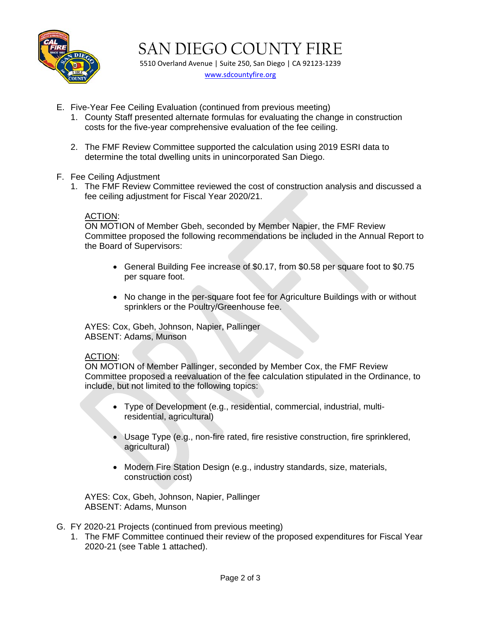

SAN DIEGO COUNTY FIRE 5510 Overland Avenue | Suite 250, San Diego | CA 92123-1239

[www.sdcountyfire.org](http://www.sdcountyfire.org/)

- E. Five-Year Fee Ceiling Evaluation (continued from previous meeting)
	- 1. County Staff presented alternate formulas for evaluating the change in construction costs for the five-year comprehensive evaluation of the fee ceiling.
	- 2. The FMF Review Committee supported the calculation using 2019 ESRI data to determine the total dwelling units in unincorporated San Diego.
- F. Fee Ceiling Adjustment
	- 1. The FMF Review Committee reviewed the cost of construction analysis and discussed a fee ceiling adjustment for Fiscal Year 2020/21.

#### ACTION:

ON MOTION of Member Gbeh, seconded by Member Napier, the FMF Review Committee proposed the following recommendations be included in the Annual Report to the Board of Supervisors:

- General Building Fee increase of \$0.17, from \$0.58 per square foot to \$0.75 per square foot.
- No change in the per-square foot fee for Agriculture Buildings with or without sprinklers or the Poultry/Greenhouse fee.

AYES: Cox, Gbeh, Johnson, Napier, Pallinger ABSENT: Adams, Munson

#### ACTION:

ON MOTION of Member Pallinger, seconded by Member Cox, the FMF Review Committee proposed a reevaluation of the fee calculation stipulated in the Ordinance, to include, but not limited to the following topics:

- Type of Development (e.g., residential, commercial, industrial, multiresidential, agricultural)
- Usage Type (e.g., non-fire rated, fire resistive construction, fire sprinklered, agricultural)
- Modern Fire Station Design (e.g., industry standards, size, materials, construction cost)

AYES: Cox, Gbeh, Johnson, Napier, Pallinger ABSENT: Adams, Munson

- G. FY 2020-21 Projects (continued from previous meeting)
	- 1. The FMF Committee continued their review of the proposed expenditures for Fiscal Year 2020-21 (see Table 1 attached).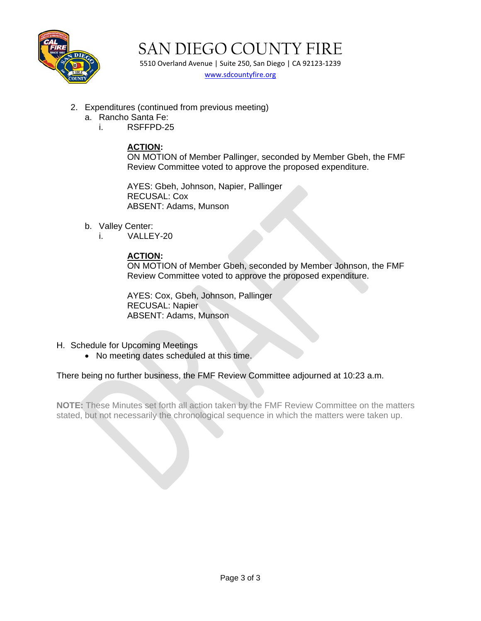

SAN DIEGO COUNTY FIRE

5510 Overland Avenue | Suite 250, San Diego | CA 92123-1239 [www.sdcountyfire.org](http://www.sdcountyfire.org/)

- 2. Expenditures (continued from previous meeting)
	- a. Rancho Santa Fe:
		- i. RSFFPD-25

## **ACTION:**

ON MOTION of Member Pallinger, seconded by Member Gbeh, the FMF Review Committee voted to approve the proposed expenditure.

AYES: Gbeh, Johnson, Napier, Pallinger RECUSAL: Cox ABSENT: Adams, Munson

- b. Valley Center:
	- i. VALLEY-20

### **ACTION:**

ON MOTION of Member Gbeh, seconded by Member Johnson, the FMF Review Committee voted to approve the proposed expenditure.

AYES: Cox, Gbeh, Johnson, Pallinger RECUSAL: Napier ABSENT: Adams, Munson

- H. Schedule for Upcoming Meetings
	- No meeting dates scheduled at this time.

There being no further business, the FMF Review Committee adjourned at 10:23 a.m.

**NOTE:** These Minutes set forth all action taken by the FMF Review Committee on the matters stated, but not necessarily the chronological sequence in which the matters were taken up.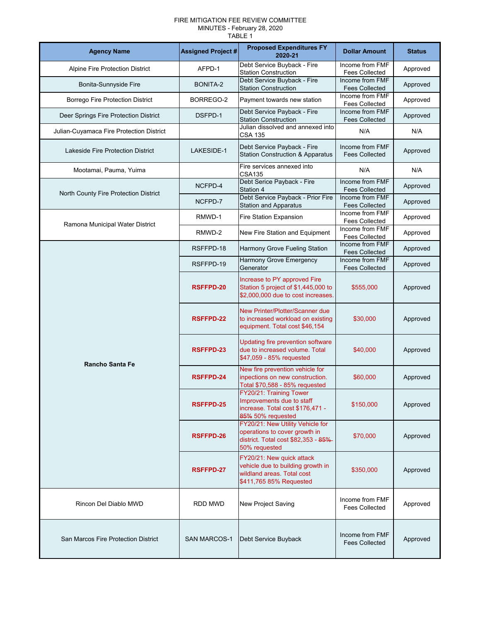#### FIRE MITIGATION FEE REVIEW COMMITTEE MINUTES - February 28, 2020 TABLE 1

| <b>Agency Name</b>                       | <b>Assigned Project #</b> | <b>Proposed Expenditures FY</b><br>2020-21                                                                                 | <b>Dollar Amount</b>                     | <b>Status</b> |
|------------------------------------------|---------------------------|----------------------------------------------------------------------------------------------------------------------------|------------------------------------------|---------------|
| Alpine Fire Protection District          | AFPD-1                    | Debt Service Buyback - Fire<br><b>Station Construction</b>                                                                 | Income from FMF<br><b>Fees Collected</b> | Approved      |
| Bonita-Sunnyside Fire                    | BONITA-2                  | Debt Service Buyback - Fire<br><b>Station Construction</b>                                                                 | Income from FMF<br><b>Fees Collected</b> | Approved      |
| Borrego Fire Protection District         | BORREGO-2                 | Payment towards new station                                                                                                | Income from FMF<br><b>Fees Collected</b> | Approved      |
| Deer Springs Fire Protection District    | DSFPD-1                   | Debt Service Payback - Fire<br><b>Station Construction</b>                                                                 | Income from FMF<br><b>Fees Collected</b> | Approved      |
| Julian-Cuyamaca Fire Protection District |                           | Julian dissolved and annexed into<br><b>CSA 135</b>                                                                        | N/A                                      | N/A           |
| <b>Lakeside Fire Protection District</b> | LAKESIDE-1                | Debt Service Payback - Fire<br><b>Station Construction &amp; Apparatus</b>                                                 | Income from FMF<br><b>Fees Collected</b> | Approved      |
| Mootamai, Pauma, Yuima                   |                           | Fire services annexed into<br><b>CSA135</b>                                                                                | N/A                                      | N/A           |
| North County Fire Protection District    | NCFPD-4                   | Debt Serice Payback - Fire<br>Station 4                                                                                    | Income from FMF<br><b>Fees Collected</b> | Approved      |
|                                          | NCFPD-7                   | Debt Service Payback - Prior Fire<br><b>Station and Apparatus</b>                                                          | Income from FMF<br><b>Fees Collected</b> | Approved      |
| Ramona Municipal Water District          | RMWD-1                    | Fire Station Expansion                                                                                                     | Income from FMF<br><b>Fees Collected</b> | Approved      |
|                                          | RMWD-2                    | New Fire Station and Equipment                                                                                             | Income from FMF<br><b>Fees Collected</b> | Approved      |
|                                          | RSFFPD-18                 | Harmony Grove Fueling Station                                                                                              | Income from FMF<br><b>Fees Collected</b> | Approved      |
|                                          | RSFFPD-19                 | Harmony Grove Emergency<br>Generator                                                                                       | Income from FMF<br><b>Fees Collected</b> | Approved      |
|                                          | <b>RSFFPD-20</b>          | Increase to PY approved Fire<br>Station 5 project of \$1,445,000 to<br>\$2,000,000 due to cost increases.                  | \$555,000                                | Approved      |
|                                          | RSFFPD-22                 | New Printer/Plotter/Scanner due<br>to increased workload on existing<br>equipment. Total cost \$46,154                     | \$30,000                                 | Approved      |
| <b>Rancho Santa Fe</b>                   | <b>RSFFPD-23</b>          | Updating fire prevention software<br>due to increased volume. Total<br>\$47,059 - 85% requested                            | \$40,000                                 | Approved      |
|                                          | RSFFPD-24                 | New fire prevention vehicle for<br>inpections on new construction.<br>Total \$70,588 - 85% requested                       | \$60,000                                 | Approved      |
|                                          | <b>RSFFPD-25</b>          | FY20/21: Training Tower<br>Improvements due to staff<br>increase. Total cost \$176,471 -<br>85% 50% requested              | \$150,000                                | Approved      |
|                                          | <b>RSFFPD-26</b>          | FY20/21: New Utility Vehicle for<br>operations to cover growth in<br>district. Total cost \$82,353 - 85%-<br>50% requested | \$70,000                                 | Approved      |
|                                          | <b>RSFFPD-27</b>          | FY20/21: New quick attack<br>vehicle due to building growth in<br>wildland areas. Total cost<br>\$411,765 85% Requested    | \$350,000                                | Approved      |
| Rincon Del Diablo MWD                    | RDD MWD                   | New Project Saving                                                                                                         | Income from FMF<br><b>Fees Collected</b> | Approved      |
| San Marcos Fire Protection District      | <b>SAN MARCOS-1</b>       | Debt Service Buyback                                                                                                       | Income from FMF<br><b>Fees Collected</b> | Approved      |